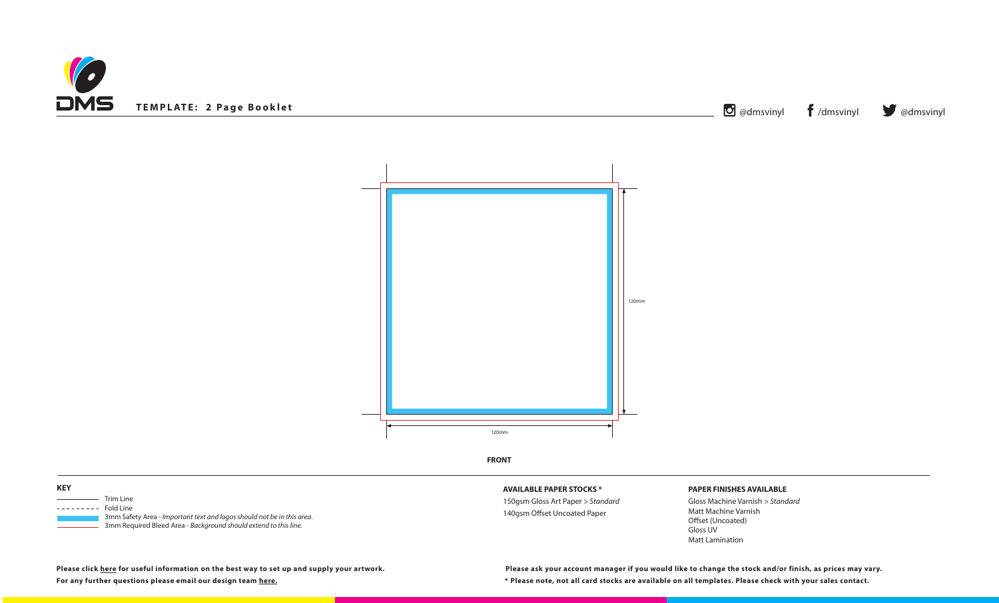





**FRONT**

# **AVAILABLE PAPER STOCKS \***

150gsm Gloss Art Paper *> Standard* 140gsm Offset Uncoated Paper

## **PAPER FINISHES AVAILABLE**

Gloss Machine Varnish *> Standard* Matt Machine Varnish Offset (Uncoated) Gloss UV Matt Lamination

**Please click [here](https://www.discmanufacturingservices.com/cd/templates#artwork-specifications) for useful information on the best way to set up and supply your artwork.**

| <u> ਹ</u> | @dmsvi |
|-----------|--------|



**For any further questions please email our design team [here](mailto:graphics%40discmanufacturingservices.com?subject=Template%20Enquiry). \* Please note, not all card stocks are available on all templates. Please check with your sales contact. Please ask your account manager if you would like to change the stock and/or finish, as prices may vary.**

**KEY**

| Trim Line      |
|----------------|
| Fold Line      |
| 3mm Safety Ar  |
| $2mm$ Doquiroo |

 3mm Safety Area - *Important text and logos should not be in this area*. 3mm Required Bleed Area - *Background should extend to this line.*